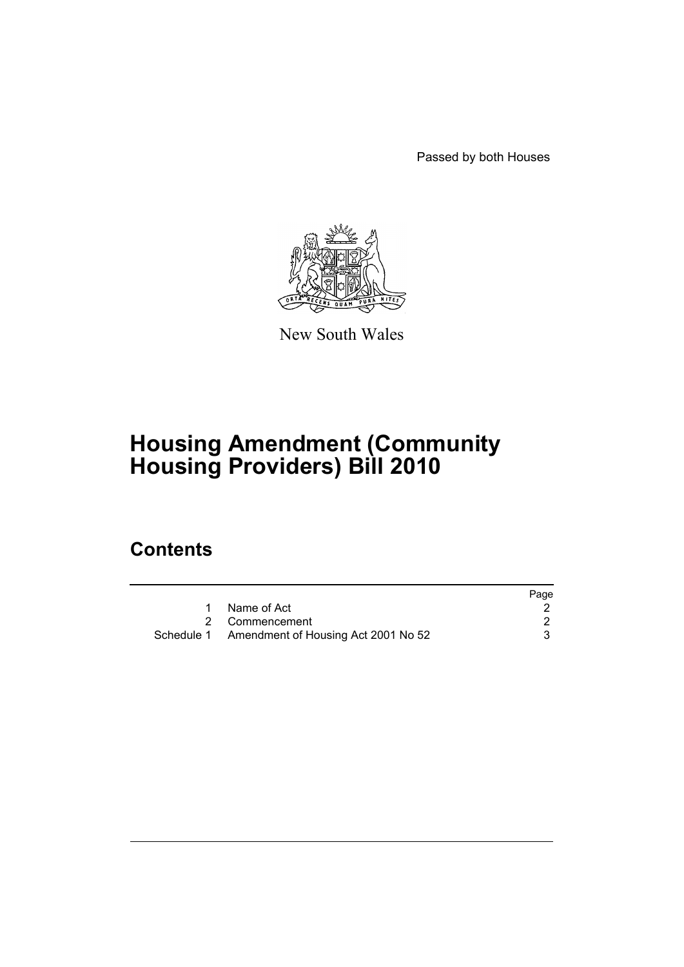Passed by both Houses



New South Wales

# **Housing Amendment (Community Housing Providers) Bill 2010**

## **Contents**

|                                                | Page |
|------------------------------------------------|------|
| Name of Act                                    |      |
| 2 Commencement                                 |      |
| Schedule 1 Amendment of Housing Act 2001 No 52 |      |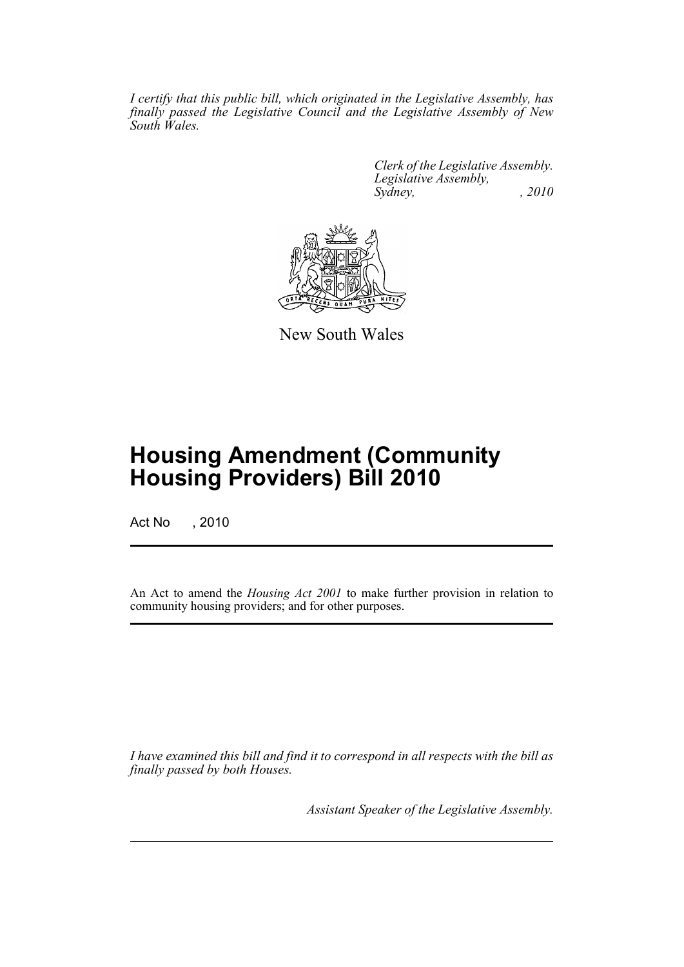*I certify that this public bill, which originated in the Legislative Assembly, has finally passed the Legislative Council and the Legislative Assembly of New South Wales.*

> *Clerk of the Legislative Assembly. Legislative Assembly, Sydney, , 2010*



New South Wales

# **Housing Amendment (Community Housing Providers) Bill 2010**

Act No , 2010

An Act to amend the *Housing Act 2001* to make further provision in relation to community housing providers; and for other purposes.

*I have examined this bill and find it to correspond in all respects with the bill as finally passed by both Houses.*

*Assistant Speaker of the Legislative Assembly.*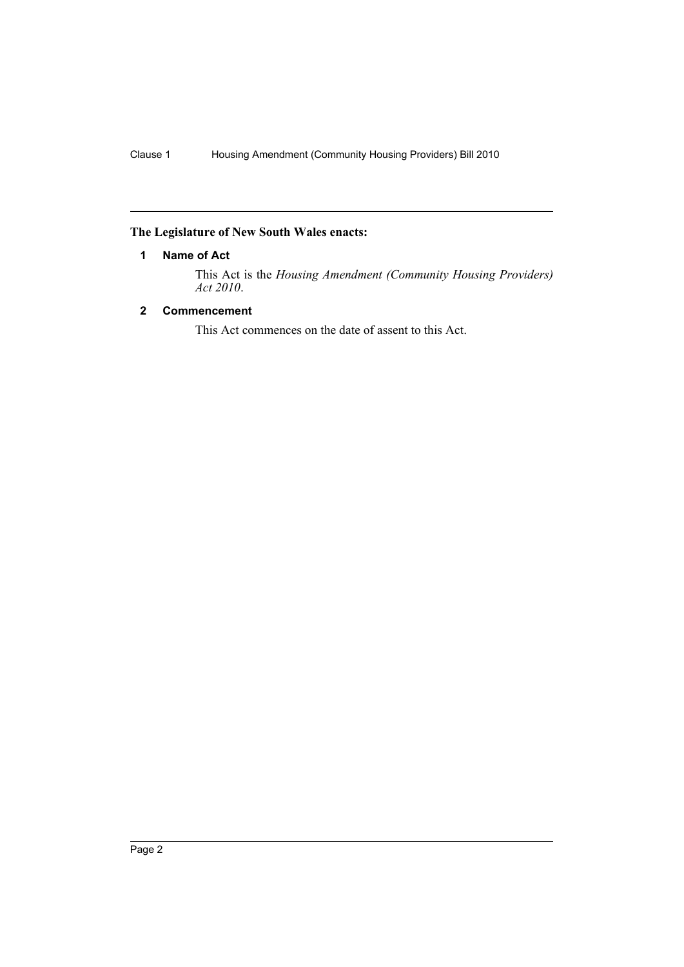## <span id="page-2-0"></span>**The Legislature of New South Wales enacts:**

## **1 Name of Act**

This Act is the *Housing Amendment (Community Housing Providers) Act 2010*.

## <span id="page-2-1"></span>**2 Commencement**

This Act commences on the date of assent to this Act.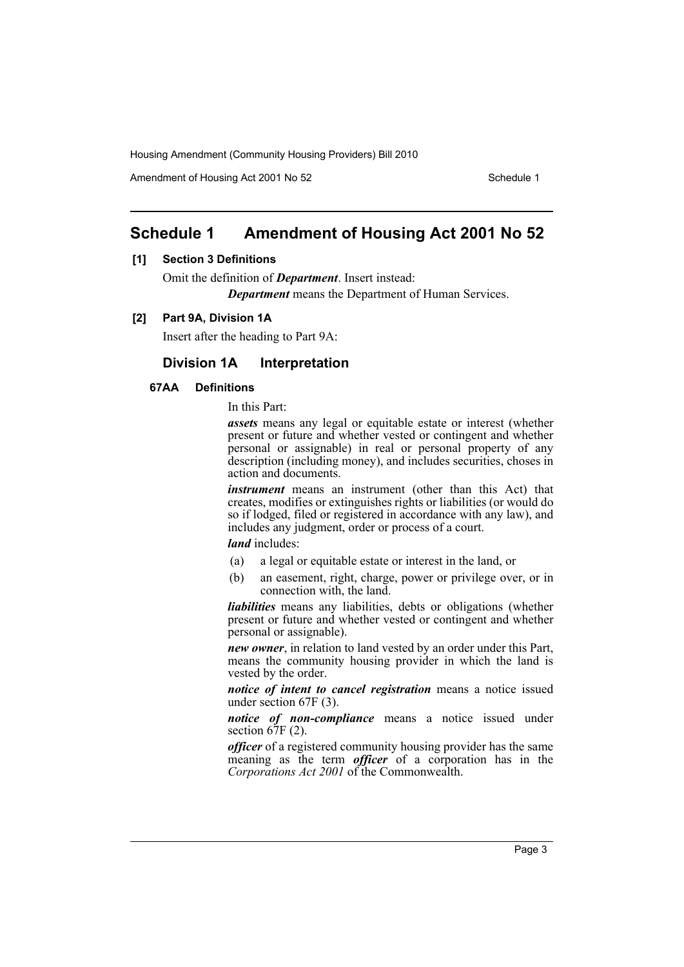Amendment of Housing Act 2001 No 52 Schedule 1

## <span id="page-3-0"></span>**Schedule 1 Amendment of Housing Act 2001 No 52**

### **[1] Section 3 Definitions**

Omit the definition of *Department*. Insert instead: *Department* means the Department of Human Services.

### **[2] Part 9A, Division 1A**

Insert after the heading to Part 9A:

## **Division 1A Interpretation**

### **67AA Definitions**

In this Part:

*assets* means any legal or equitable estate or interest (whether present or future and whether vested or contingent and whether personal or assignable) in real or personal property of any description (including money), and includes securities, choses in action and documents.

*instrument* means an instrument (other than this Act) that creates, modifies or extinguishes rights or liabilities (or would do so if lodged, filed or registered in accordance with any law), and includes any judgment, order or process of a court.

*land* includes:

- (a) a legal or equitable estate or interest in the land, or
- (b) an easement, right, charge, power or privilege over, or in connection with, the land.

*liabilities* means any liabilities, debts or obligations (whether present or future and whether vested or contingent and whether personal or assignable).

*new owner*, in relation to land vested by an order under this Part, means the community housing provider in which the land is vested by the order.

*notice of intent to cancel registration* means a notice issued under section 67F (3).

*notice of non-compliance* means a notice issued under section  $67F(2)$ .

*officer* of a registered community housing provider has the same meaning as the term *officer* of a corporation has in the *Corporations Act 2001* of the Commonwealth.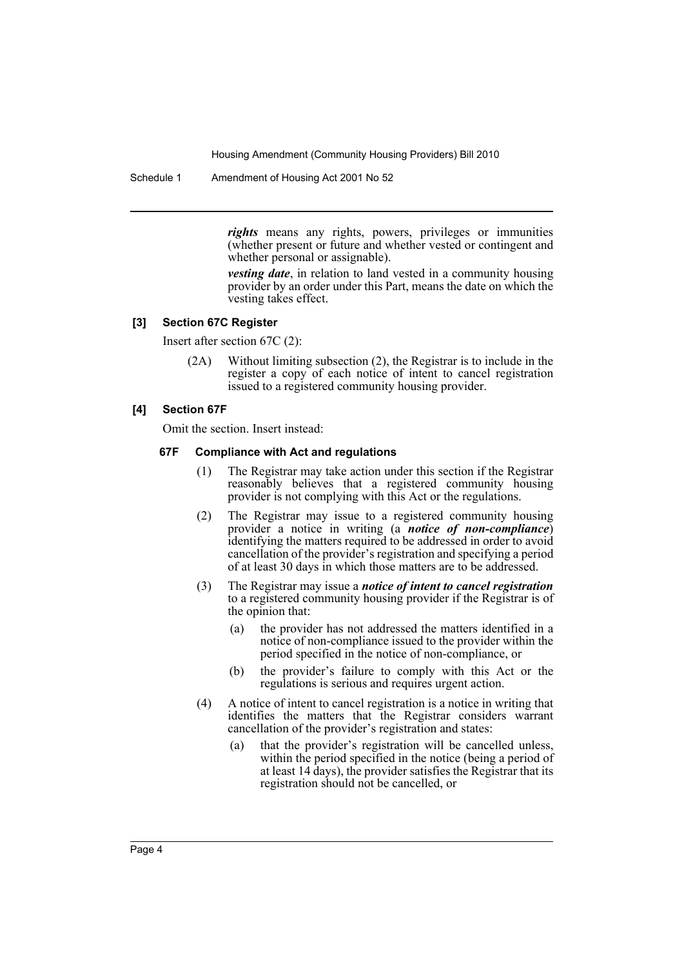Schedule 1 Amendment of Housing Act 2001 No 52

*rights* means any rights, powers, privileges or immunities (whether present or future and whether vested or contingent and whether personal or assignable).

*vesting date*, in relation to land vested in a community housing provider by an order under this Part, means the date on which the vesting takes effect.

#### **[3] Section 67C Register**

Insert after section 67C (2):

(2A) Without limiting subsection (2), the Registrar is to include in the register a copy of each notice of intent to cancel registration issued to a registered community housing provider.

#### **[4] Section 67F**

Omit the section. Insert instead:

#### **67F Compliance with Act and regulations**

- (1) The Registrar may take action under this section if the Registrar reasonably believes that a registered community housing provider is not complying with this Act or the regulations.
- (2) The Registrar may issue to a registered community housing provider a notice in writing (a *notice of non-compliance*) identifying the matters required to be addressed in order to avoid cancellation of the provider's registration and specifying a period of at least 30 days in which those matters are to be addressed.
- (3) The Registrar may issue a *notice of intent to cancel registration* to a registered community housing provider if the Registrar is of the opinion that:
	- (a) the provider has not addressed the matters identified in a notice of non-compliance issued to the provider within the period specified in the notice of non-compliance, or
	- (b) the provider's failure to comply with this Act or the regulations is serious and requires urgent action.
- (4) A notice of intent to cancel registration is a notice in writing that identifies the matters that the Registrar considers warrant cancellation of the provider's registration and states:
	- (a) that the provider's registration will be cancelled unless, within the period specified in the notice (being a period of at least 14 days), the provider satisfies the Registrar that its registration should not be cancelled, or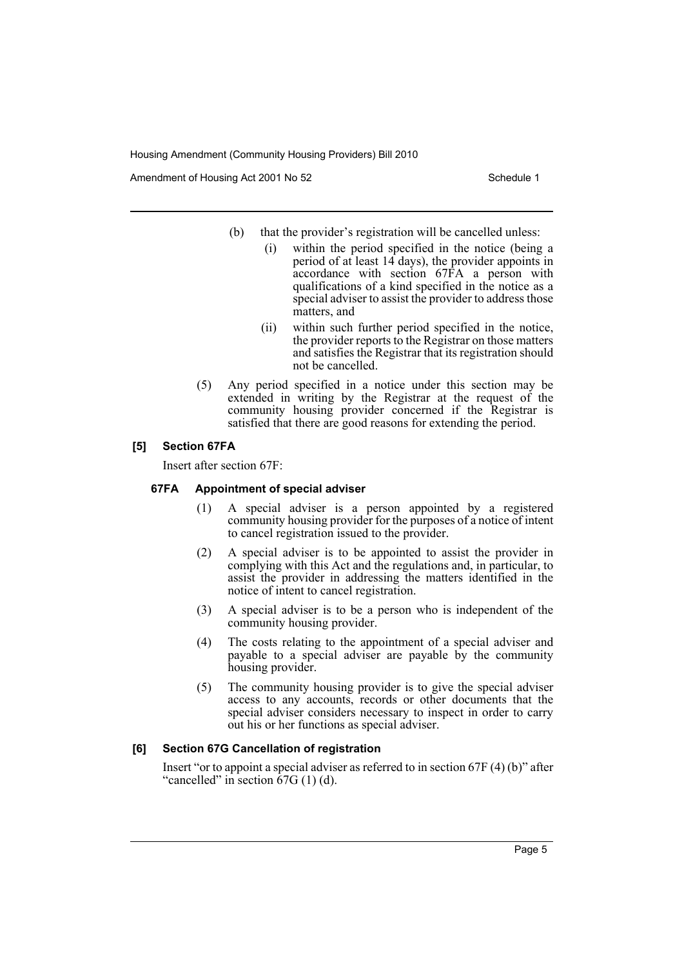Amendment of Housing Act 2001 No 52 Schedule 1

- (b) that the provider's registration will be cancelled unless:
	- (i) within the period specified in the notice (being a period of at least 14 days), the provider appoints in accordance with section 67FA a person with qualifications of a kind specified in the notice as a special adviser to assist the provider to address those matters, and
	- (ii) within such further period specified in the notice, the provider reports to the Registrar on those matters and satisfies the Registrar that its registration should not be cancelled.
- (5) Any period specified in a notice under this section may be extended in writing by the Registrar at the request of the community housing provider concerned if the Registrar is satisfied that there are good reasons for extending the period.

## **[5] Section 67FA**

Insert after section 67F:

## **67FA Appointment of special adviser**

- (1) A special adviser is a person appointed by a registered community housing provider for the purposes of a notice of intent to cancel registration issued to the provider.
- (2) A special adviser is to be appointed to assist the provider in complying with this Act and the regulations and, in particular, to assist the provider in addressing the matters identified in the notice of intent to cancel registration.
- (3) A special adviser is to be a person who is independent of the community housing provider.
- (4) The costs relating to the appointment of a special adviser and payable to a special adviser are payable by the community housing provider.
- (5) The community housing provider is to give the special adviser access to any accounts, records or other documents that the special adviser considers necessary to inspect in order to carry out his or her functions as special adviser.

## **[6] Section 67G Cancellation of registration**

Insert "or to appoint a special adviser as referred to in section 67F (4) (b)" after "cancelled" in section  $67G(1)(d)$ .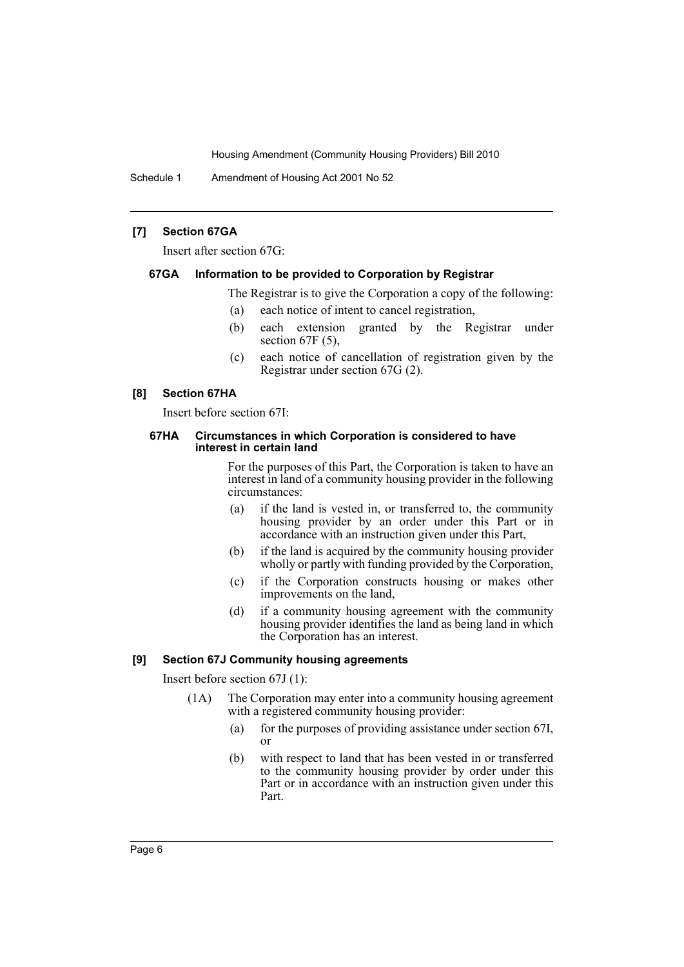Schedule 1 Amendment of Housing Act 2001 No 52

## **[7] Section 67GA**

Insert after section 67G:

#### **67GA Information to be provided to Corporation by Registrar**

The Registrar is to give the Corporation a copy of the following:

- (a) each notice of intent to cancel registration,
- (b) each extension granted by the Registrar under section 67F (5),
- (c) each notice of cancellation of registration given by the Registrar under section 67G (2).

### **[8] Section 67HA**

Insert before section 67I:

#### **67HA Circumstances in which Corporation is considered to have interest in certain land**

For the purposes of this Part, the Corporation is taken to have an interest in land of a community housing provider in the following circumstances:

- (a) if the land is vested in, or transferred to, the community housing provider by an order under this Part or in accordance with an instruction given under this Part,
- (b) if the land is acquired by the community housing provider wholly or partly with funding provided by the Corporation,
- (c) if the Corporation constructs housing or makes other improvements on the land,
- (d) if a community housing agreement with the community housing provider identifies the land as being land in which the Corporation has an interest.

## **[9] Section 67J Community housing agreements**

Insert before section 67J (1):

- (1A) The Corporation may enter into a community housing agreement with a registered community housing provider:
	- (a) for the purposes of providing assistance under section 67I, or
	- (b) with respect to land that has been vested in or transferred to the community housing provider by order under this Part or in accordance with an instruction given under this Part.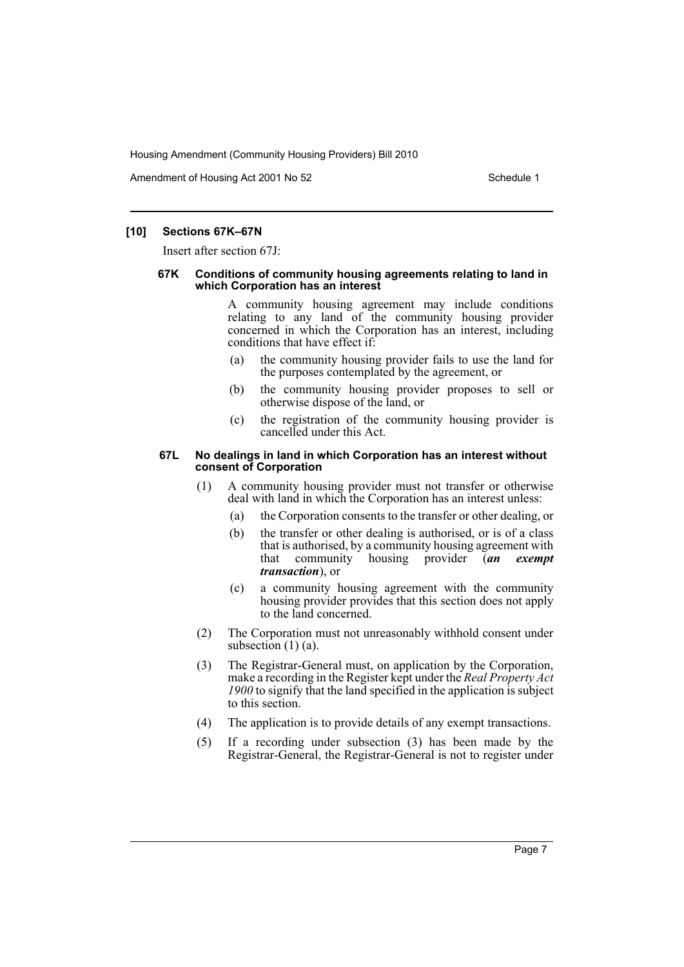Amendment of Housing Act 2001 No 52 Schedule 1

### **[10] Sections 67K–67N**

Insert after section 67J:

#### **67K Conditions of community housing agreements relating to land in which Corporation has an interest**

A community housing agreement may include conditions relating to any land of the community housing provider concerned in which the Corporation has an interest, including conditions that have effect if:

- (a) the community housing provider fails to use the land for the purposes contemplated by the agreement, or
- (b) the community housing provider proposes to sell or otherwise dispose of the land, or
- (c) the registration of the community housing provider is cancelled under this Act.

#### **67L No dealings in land in which Corporation has an interest without consent of Corporation**

- (1) A community housing provider must not transfer or otherwise deal with land in which the Corporation has an interest unless:
	- (a) the Corporation consents to the transfer or other dealing, or
	- (b) the transfer or other dealing is authorised, or is of a class that is authorised, by a community housing agreement with that community housing provider (*an exempt transaction*), or
	- (c) a community housing agreement with the community housing provider provides that this section does not apply to the land concerned.
- (2) The Corporation must not unreasonably withhold consent under subsection  $(1)$   $(a)$ .
- (3) The Registrar-General must, on application by the Corporation, make a recording in the Register kept under the *Real Property Act 1900* to signify that the land specified in the application is subject to this section.
- (4) The application is to provide details of any exempt transactions.
- (5) If a recording under subsection (3) has been made by the Registrar-General, the Registrar-General is not to register under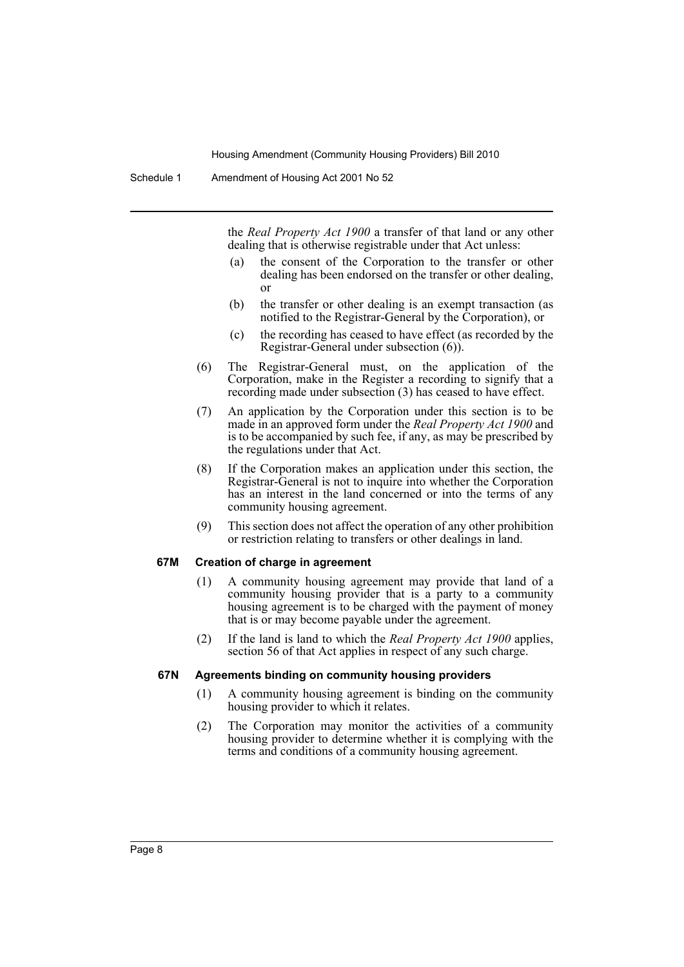the *Real Property Act 1900* a transfer of that land or any other dealing that is otherwise registrable under that Act unless:

- (a) the consent of the Corporation to the transfer or other dealing has been endorsed on the transfer or other dealing, or
- (b) the transfer or other dealing is an exempt transaction (as notified to the Registrar-General by the Corporation), or
- (c) the recording has ceased to have effect (as recorded by the Registrar-General under subsection (6)).
- (6) The Registrar-General must, on the application of the Corporation, make in the Register a recording to signify that a recording made under subsection (3) has ceased to have effect.
- (7) An application by the Corporation under this section is to be made in an approved form under the *Real Property Act 1900* and is to be accompanied by such fee, if any, as may be prescribed by the regulations under that Act.
- (8) If the Corporation makes an application under this section, the Registrar-General is not to inquire into whether the Corporation has an interest in the land concerned or into the terms of any community housing agreement.
- (9) This section does not affect the operation of any other prohibition or restriction relating to transfers or other dealings in land.

## **67M Creation of charge in agreement**

- (1) A community housing agreement may provide that land of a community housing provider that is a party to a community housing agreement is to be charged with the payment of money that is or may become payable under the agreement.
- (2) If the land is land to which the *Real Property Act 1900* applies, section 56 of that Act applies in respect of any such charge.

#### **67N Agreements binding on community housing providers**

- (1) A community housing agreement is binding on the community housing provider to which it relates.
- (2) The Corporation may monitor the activities of a community housing provider to determine whether it is complying with the terms and conditions of a community housing agreement.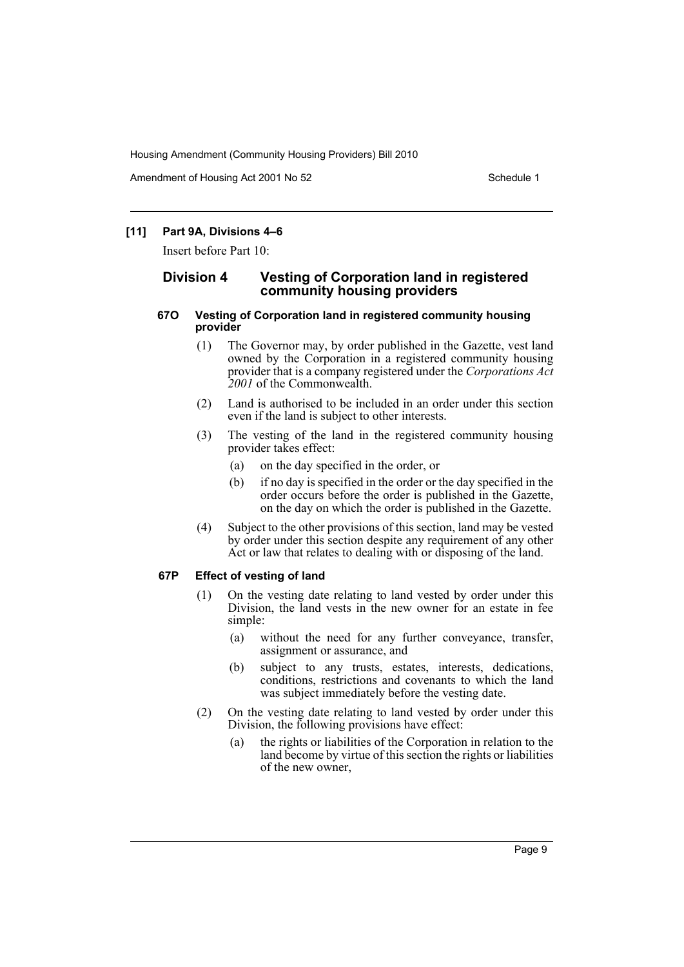Amendment of Housing Act 2001 No 52 Schedule 1

## **[11] Part 9A, Divisions 4–6**

Insert before Part 10:

## **Division 4 Vesting of Corporation land in registered community housing providers**

#### **67O Vesting of Corporation land in registered community housing provider**

- (1) The Governor may, by order published in the Gazette, vest land owned by the Corporation in a registered community housing provider that is a company registered under the *Corporations Act 2001* of the Commonwealth.
- (2) Land is authorised to be included in an order under this section even if the land is subject to other interests.
- (3) The vesting of the land in the registered community housing provider takes effect:
	- (a) on the day specified in the order, or
	- (b) if no day is specified in the order or the day specified in the order occurs before the order is published in the Gazette, on the day on which the order is published in the Gazette.
- (4) Subject to the other provisions of this section, land may be vested by order under this section despite any requirement of any other Act or law that relates to dealing with or disposing of the land.

#### **67P Effect of vesting of land**

- (1) On the vesting date relating to land vested by order under this Division, the land vests in the new owner for an estate in fee simple:
	- (a) without the need for any further conveyance, transfer, assignment or assurance, and
	- (b) subject to any trusts, estates, interests, dedications, conditions, restrictions and covenants to which the land was subject immediately before the vesting date.
- (2) On the vesting date relating to land vested by order under this Division, the following provisions have effect:
	- (a) the rights or liabilities of the Corporation in relation to the land become by virtue of this section the rights or liabilities of the new owner,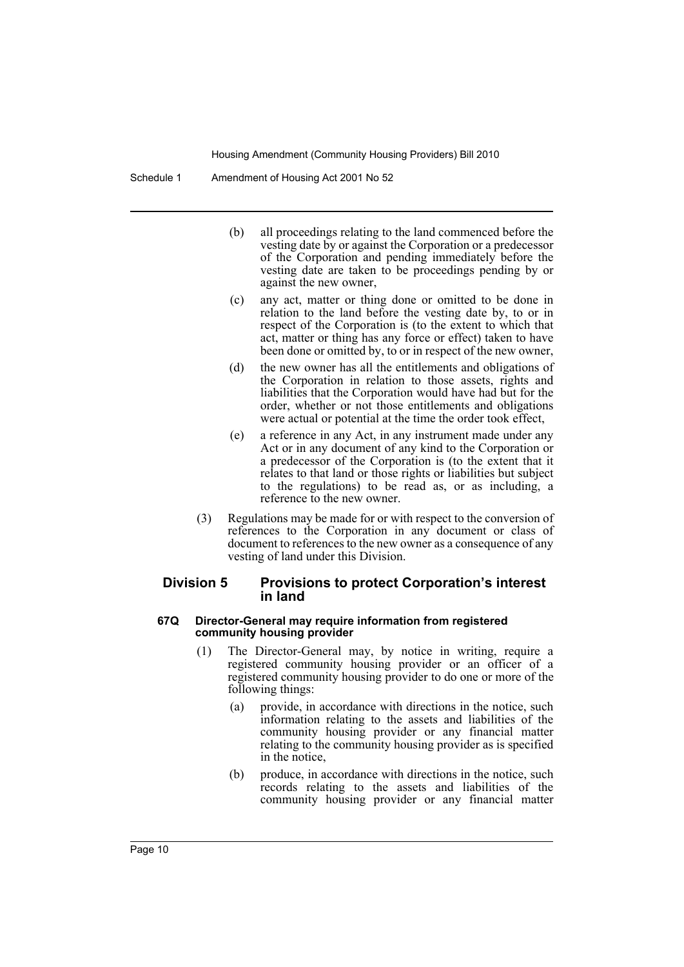- (b) all proceedings relating to the land commenced before the vesting date by or against the Corporation or a predecessor of the Corporation and pending immediately before the vesting date are taken to be proceedings pending by or against the new owner,
- (c) any act, matter or thing done or omitted to be done in relation to the land before the vesting date by, to or in respect of the Corporation is (to the extent to which that act, matter or thing has any force or effect) taken to have been done or omitted by, to or in respect of the new owner,
- (d) the new owner has all the entitlements and obligations of the Corporation in relation to those assets, rights and liabilities that the Corporation would have had but for the order, whether or not those entitlements and obligations were actual or potential at the time the order took effect,
- (e) a reference in any Act, in any instrument made under any Act or in any document of any kind to the Corporation or a predecessor of the Corporation is (to the extent that it relates to that land or those rights or liabilities but subject to the regulations) to be read as, or as including, a reference to the new owner.
- (3) Regulations may be made for or with respect to the conversion of references to the Corporation in any document or class of document to references to the new owner as a consequence of any vesting of land under this Division.

## **Division 5 Provisions to protect Corporation's interest in land**

#### **67Q Director-General may require information from registered community housing provider**

- (1) The Director-General may, by notice in writing, require a registered community housing provider or an officer of a registered community housing provider to do one or more of the following things:
	- (a) provide, in accordance with directions in the notice, such information relating to the assets and liabilities of the community housing provider or any financial matter relating to the community housing provider as is specified in the notice,
	- (b) produce, in accordance with directions in the notice, such records relating to the assets and liabilities of the community housing provider or any financial matter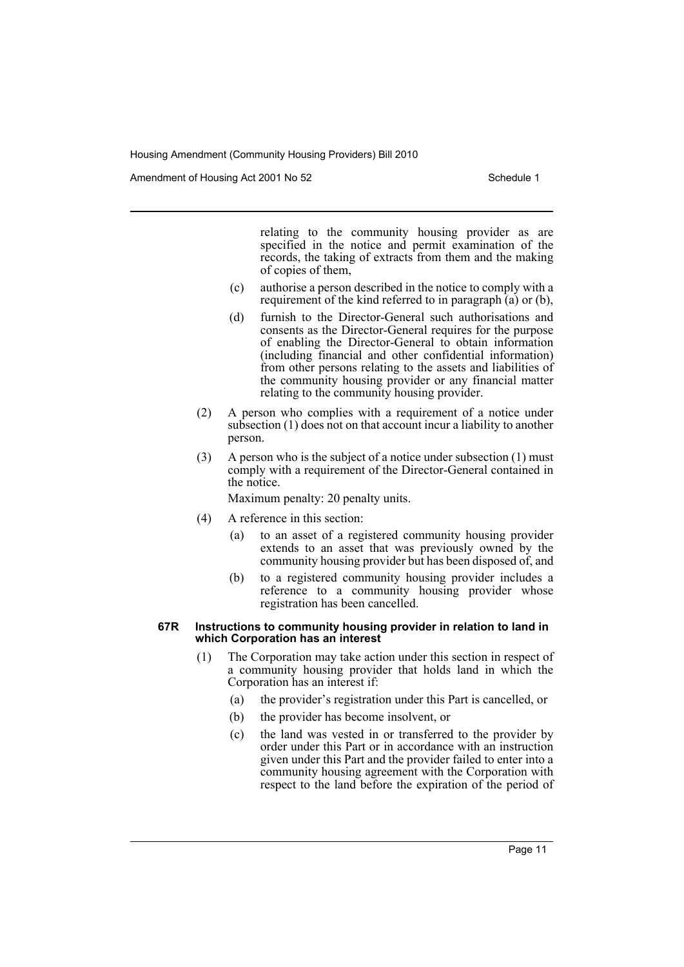Amendment of Housing Act 2001 No 52 Schedule 1

relating to the community housing provider as are specified in the notice and permit examination of the records, the taking of extracts from them and the making of copies of them,

- (c) authorise a person described in the notice to comply with a requirement of the kind referred to in paragraph (a) or (b),
- (d) furnish to the Director-General such authorisations and consents as the Director-General requires for the purpose of enabling the Director-General to obtain information (including financial and other confidential information) from other persons relating to the assets and liabilities of the community housing provider or any financial matter relating to the community housing provider.
- (2) A person who complies with a requirement of a notice under subsection (1) does not on that account incur a liability to another person.
- (3) A person who is the subject of a notice under subsection (1) must comply with a requirement of the Director-General contained in the notice.

Maximum penalty: 20 penalty units.

- (4) A reference in this section:
	- (a) to an asset of a registered community housing provider extends to an asset that was previously owned by the community housing provider but has been disposed of, and
	- (b) to a registered community housing provider includes a reference to a community housing provider whose registration has been cancelled.

#### **67R Instructions to community housing provider in relation to land in which Corporation has an interest**

- (1) The Corporation may take action under this section in respect of a community housing provider that holds land in which the Corporation has an interest if:
	- (a) the provider's registration under this Part is cancelled, or
	- (b) the provider has become insolvent, or
	- (c) the land was vested in or transferred to the provider by order under this Part or in accordance with an instruction given under this Part and the provider failed to enter into a community housing agreement with the Corporation with respect to the land before the expiration of the period of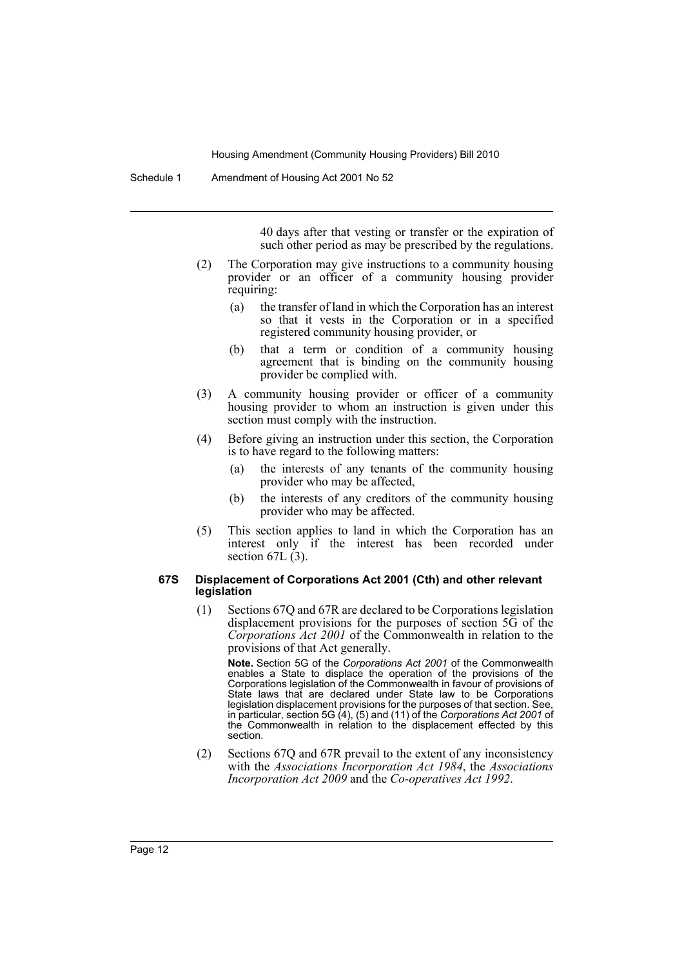40 days after that vesting or transfer or the expiration of such other period as may be prescribed by the regulations.

- (2) The Corporation may give instructions to a community housing provider or an officer of a community housing provider requiring:
	- (a) the transfer of land in which the Corporation has an interest so that it vests in the Corporation or in a specified registered community housing provider, or
	- (b) that a term or condition of a community housing agreement that is binding on the community housing provider be complied with.
- (3) A community housing provider or officer of a community housing provider to whom an instruction is given under this section must comply with the instruction.
- (4) Before giving an instruction under this section, the Corporation is to have regard to the following matters:
	- (a) the interests of any tenants of the community housing provider who may be affected,
	- (b) the interests of any creditors of the community housing provider who may be affected.
- (5) This section applies to land in which the Corporation has an interest only if the interest has been recorded under section  $67L(3)$ .

#### **67S Displacement of Corporations Act 2001 (Cth) and other relevant legislation**

(1) Sections 67Q and 67R are declared to be Corporations legislation displacement provisions for the purposes of section 5G of the *Corporations Act 2001* of the Commonwealth in relation to the provisions of that Act generally.

**Note.** Section 5G of the *Corporations Act 2001* of the Commonwealth enables a State to displace the operation of the provisions of the Corporations legislation of the Commonwealth in favour of provisions of State laws that are declared under State law to be Corporations legislation displacement provisions for the purposes of that section. See, in particular, section 5G (4), (5) and (11) of the *Corporations Act 2001* of the Commonwealth in relation to the displacement effected by this section.

(2) Sections 67Q and 67R prevail to the extent of any inconsistency with the *Associations Incorporation Act 1984*, the *Associations Incorporation Act 2009* and the *Co-operatives Act 1992*.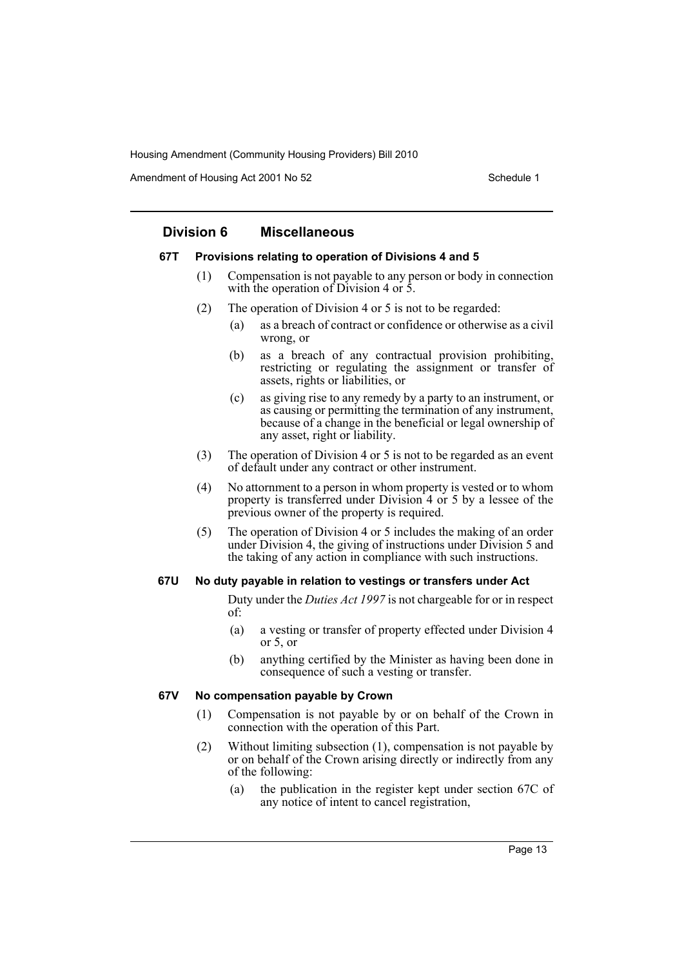Amendment of Housing Act 2001 No 52 Schedule 1

## **Division 6 Miscellaneous**

#### **67T Provisions relating to operation of Divisions 4 and 5**

- (1) Compensation is not payable to any person or body in connection with the operation of Division 4 or 5.
- (2) The operation of Division 4 or 5 is not to be regarded:
	- (a) as a breach of contract or confidence or otherwise as a civil wrong, or
	- (b) as a breach of any contractual provision prohibiting, restricting or regulating the assignment or transfer of assets, rights or liabilities, or
	- (c) as giving rise to any remedy by a party to an instrument, or as causing or permitting the termination of any instrument, because of a change in the beneficial or legal ownership of any asset, right or liability.
- (3) The operation of Division 4 or 5 is not to be regarded as an event of default under any contract or other instrument.
- (4) No attornment to a person in whom property is vested or to whom property is transferred under Division 4 or 5 by a lessee of the previous owner of the property is required.
- (5) The operation of Division 4 or 5 includes the making of an order under Division 4, the giving of instructions under Division 5 and the taking of any action in compliance with such instructions.

#### **67U No duty payable in relation to vestings or transfers under Act**

Duty under the *Duties Act 1997* is not chargeable for or in respect of:

- (a) a vesting or transfer of property effected under Division 4 or 5, or
- (b) anything certified by the Minister as having been done in consequence of such a vesting or transfer.

#### **67V No compensation payable by Crown**

- (1) Compensation is not payable by or on behalf of the Crown in connection with the operation of this Part.
- (2) Without limiting subsection (1), compensation is not payable by or on behalf of the Crown arising directly or indirectly from any of the following:
	- (a) the publication in the register kept under section 67C of any notice of intent to cancel registration,